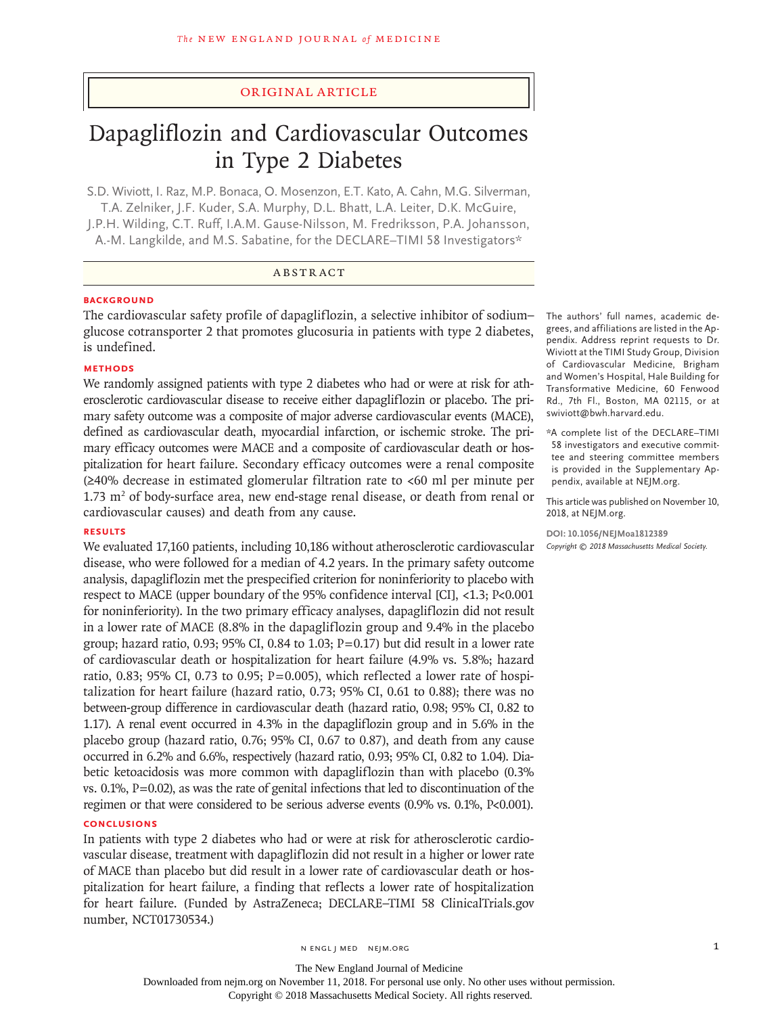# Original Article

# Dapagliflozin and Cardiovascular Outcomes in Type 2 Diabetes

S.D. Wiviott, I. Raz, M.P. Bonaca, O. Mosenzon, E.T. Kato, A. Cahn, M.G. Silverman, T.A. Zelniker, J.F. Kuder, S.A. Murphy, D.L. Bhatt, L.A. Leiter, D.K. McGuire, J.P.H. Wilding, C.T. Ruff, I.A.M. Gause‑Nilsson, M. Fredriksson, P.A. Johansson, A.-M. Langkilde, and M.S. Sabatine, for the DECLARE–TIMI 58 Investigators\*

# ABSTRACT

### **BACKGROUND**

The cardiovascular safety profile of dapagliflozin, a selective inhibitor of sodium– glucose cotransporter 2 that promotes glucosuria in patients with type 2 diabetes, is undefined.

# **METHODS**

We randomly assigned patients with type 2 diabetes who had or were at risk for atherosclerotic cardiovascular disease to receive either dapagliflozin or placebo. The primary safety outcome was a composite of major adverse cardiovascular events (MACE), defined as cardiovascular death, myocardial infarction, or ischemic stroke. The primary efficacy outcomes were MACE and a composite of cardiovascular death or hospitalization for heart failure. Secondary efficacy outcomes were a renal composite (≥40% decrease in estimated glomerular filtration rate to <60 ml per minute per 1.73 m<sup>2</sup> of body-surface area, new end-stage renal disease, or death from renal or cardiovascular causes) and death from any cause.

#### **RESULTS**

We evaluated 17,160 patients, including 10,186 without atherosclerotic cardiovascular disease, who were followed for a median of 4.2 years. In the primary safety outcome analysis, dapagliflozin met the prespecified criterion for noninferiority to placebo with respect to MACE (upper boundary of the 95% confidence interval [CI], <1.3; P<0.001 for noninferiority). In the two primary efficacy analyses, dapagliflozin did not result in a lower rate of MACE (8.8% in the dapagliflozin group and 9.4% in the placebo group; hazard ratio, 0.93; 95% CI, 0.84 to 1.03;  $P=0.17$ ) but did result in a lower rate of cardiovascular death or hospitalization for heart failure (4.9% vs. 5.8%; hazard ratio, 0.83; 95% CI, 0.73 to 0.95;  $P=0.005$ ), which reflected a lower rate of hospitalization for heart failure (hazard ratio, 0.73; 95% CI, 0.61 to 0.88); there was no between-group difference in cardiovascular death (hazard ratio, 0.98; 95% CI, 0.82 to 1.17). A renal event occurred in 4.3% in the dapagliflozin group and in 5.6% in the placebo group (hazard ratio, 0.76; 95% CI, 0.67 to 0.87), and death from any cause occurred in 6.2% and 6.6%, respectively (hazard ratio, 0.93; 95% CI, 0.82 to 1.04). Diabetic ketoacidosis was more common with dapagliflozin than with placebo (0.3% vs.  $0.1\%$ , P=0.02), as was the rate of genital infections that led to discontinuation of the regimen or that were considered to be serious adverse events (0.9% vs. 0.1%, P<0.001).

# **CONCLUSIONS**

In patients with type 2 diabetes who had or were at risk for atherosclerotic cardiovascular disease, treatment with dapagliflozin did not result in a higher or lower rate of MACE than placebo but did result in a lower rate of cardiovascular death or hospitalization for heart failure, a finding that reflects a lower rate of hospitalization for heart failure. (Funded by AstraZeneca; DECLARE–TIMI 58 ClinicalTrials.gov number, NCT01730534.)

The authors' full names, academic degrees, and affiliations are listed in the Appendix. Address reprint requests to Dr. Wiviott at the TIMI Study Group, Division of Cardiovascular Medicine, Brigham and Women's Hospital, Hale Building for Transformative Medicine, 60 Fenwood Rd., 7th Fl., Boston, MA 02115, or at swiviott@bwh.harvard.edu.

\*A complete list of the DECLARE–TIMI 58 investigators and executive committee and steering committee members is provided in the Supplementary Appendix, available at NEJM.org.

This article was published on November 10, 2018, at NEJM.org.

**DOI: 10.1056/NEJMoa1812389** *Copyright © 2018 Massachusetts Medical Society.*

The New England Journal of Medicine Downloaded from nejm.org on November 11, 2018. For personal use only. No other uses without permission.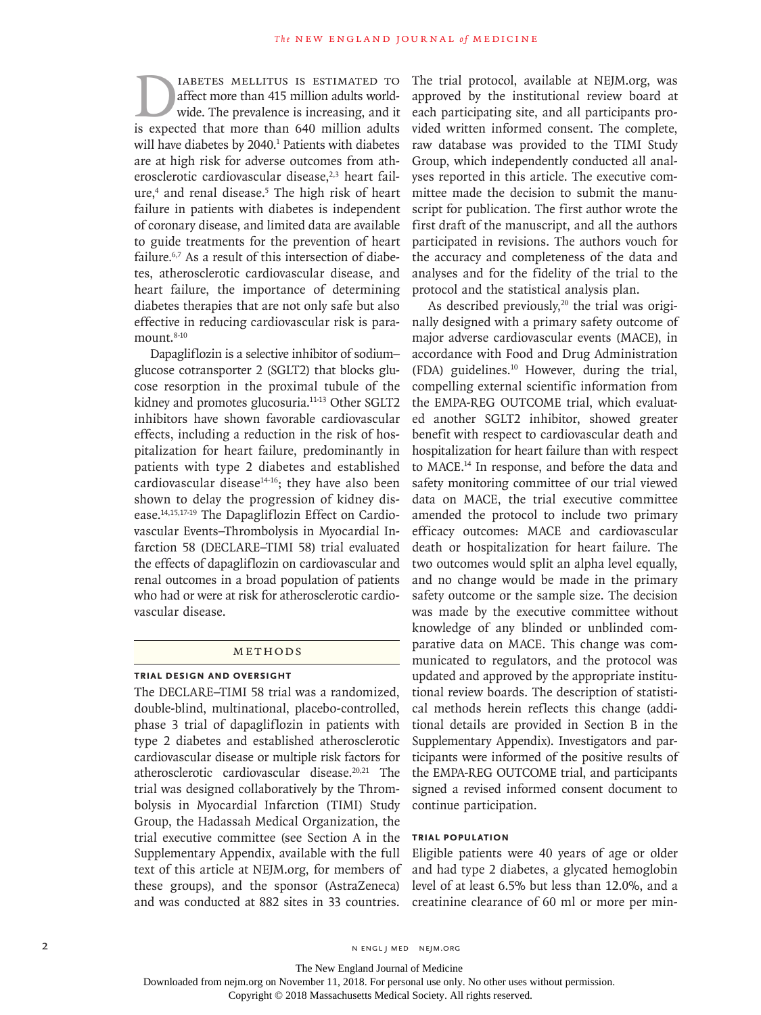IABETES MELLITUS IS ESTIMATED TO<br>affect more than 415 million adults world-<br>wide. The prevalence is increasing, and it<br>is expected that more than 640 million adults affect more than 415 million adults worldwide. The prevalence is increasing, and it is expected that more than 640 million adults will have diabetes by 2040.<sup>1</sup> Patients with diabetes are at high risk for adverse outcomes from atherosclerotic cardiovascular disease,<sup>2,3</sup> heart failure,4 and renal disease.5 The high risk of heart failure in patients with diabetes is independent of coronary disease, and limited data are available to guide treatments for the prevention of heart failure.<sup>6,7</sup> As a result of this intersection of diabetes, atherosclerotic cardiovascular disease, and heart failure, the importance of determining diabetes therapies that are not only safe but also effective in reducing cardiovascular risk is paramount.<sup>8-10</sup>

Dapagliflozin is a selective inhibitor of sodium– glucose cotransporter 2 (SGLT2) that blocks glucose resorption in the proximal tubule of the kidney and promotes glucosuria.<sup>11-13</sup> Other SGLT2 inhibitors have shown favorable cardiovascular effects, including a reduction in the risk of hospitalization for heart failure, predominantly in patients with type 2 diabetes and established cardiovascular disease<sup>14-16</sup>; they have also been shown to delay the progression of kidney disease.14,15,17-19 The Dapagliflozin Effect on Cardiovascular Events–Thrombolysis in Myocardial Infarction 58 (DECLARE–TIMI 58) trial evaluated the effects of dapagliflozin on cardiovascular and renal outcomes in a broad population of patients who had or were at risk for atherosclerotic cardiovascular disease.

#### Methods

#### **Trial Design and Oversight**

The DECLARE–TIMI 58 trial was a randomized, double-blind, multinational, placebo-controlled, phase 3 trial of dapagliflozin in patients with type 2 diabetes and established atherosclerotic cardiovascular disease or multiple risk factors for atherosclerotic cardiovascular disease.20,21 The trial was designed collaboratively by the Thrombolysis in Myocardial Infarction (TIMI) Study Group, the Hadassah Medical Organization, the trial executive committee (see Section A in the Supplementary Appendix, available with the full text of this article at NEJM.org, for members of these groups), and the sponsor (AstraZeneca) and was conducted at 882 sites in 33 countries.

The trial protocol, available at NEJM.org, was approved by the institutional review board at each participating site, and all participants provided written informed consent. The complete, raw database was provided to the TIMI Study Group, which independently conducted all analyses reported in this article. The executive committee made the decision to submit the manuscript for publication. The first author wrote the first draft of the manuscript, and all the authors participated in revisions. The authors vouch for the accuracy and completeness of the data and analyses and for the fidelity of the trial to the protocol and the statistical analysis plan.

As described previously,<sup>20</sup> the trial was originally designed with a primary safety outcome of major adverse cardiovascular events (MACE), in accordance with Food and Drug Administration (FDA) guidelines.10 However, during the trial, compelling external scientific information from the EMPA-REG OUTCOME trial, which evaluated another SGLT2 inhibitor, showed greater benefit with respect to cardiovascular death and hospitalization for heart failure than with respect to MACE.14 In response, and before the data and safety monitoring committee of our trial viewed data on MACE, the trial executive committee amended the protocol to include two primary efficacy outcomes: MACE and cardiovascular death or hospitalization for heart failure. The two outcomes would split an alpha level equally, and no change would be made in the primary safety outcome or the sample size. The decision was made by the executive committee without knowledge of any blinded or unblinded comparative data on MACE. This change was communicated to regulators, and the protocol was updated and approved by the appropriate institutional review boards. The description of statistical methods herein reflects this change (additional details are provided in Section B in the Supplementary Appendix). Investigators and participants were informed of the positive results of the EMPA-REG OUTCOME trial, and participants signed a revised informed consent document to continue participation.

#### **Trial Population**

Eligible patients were 40 years of age or older and had type 2 diabetes, a glycated hemoglobin level of at least 6.5% but less than 12.0%, and a creatinine clearance of 60 ml or more per min-

The New England Journal of Medicine Downloaded from nejm.org on November 11, 2018. For personal use only. No other uses without permission.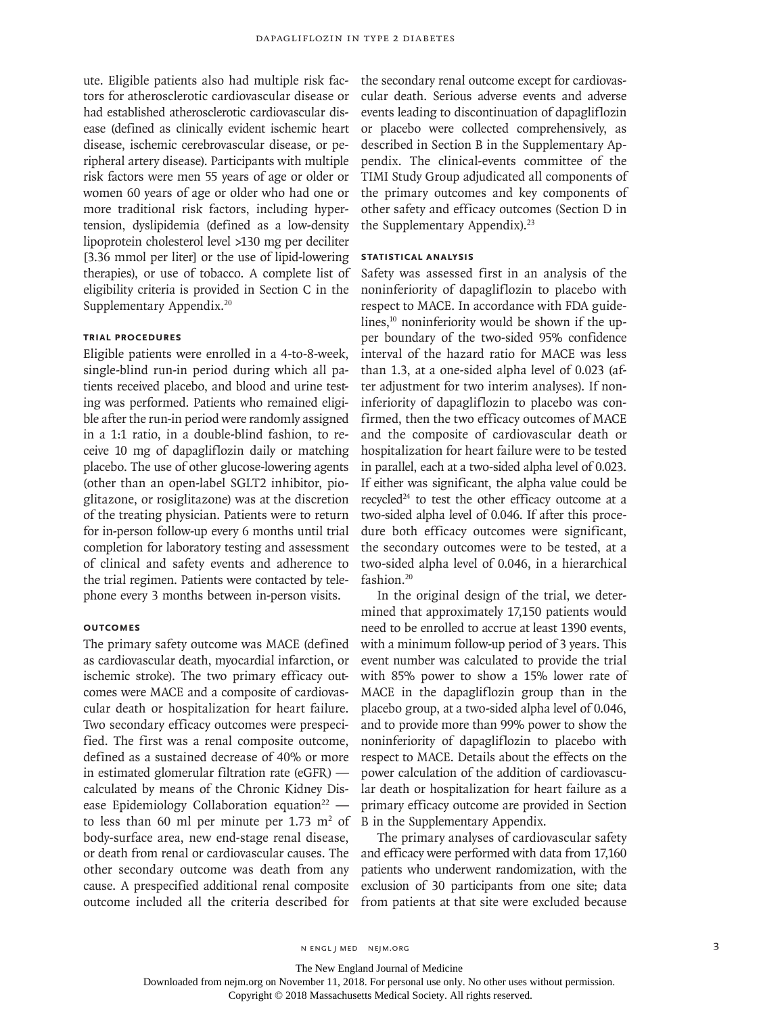ute. Eligible patients also had multiple risk factors for atherosclerotic cardiovascular disease or had established atherosclerotic cardiovascular disease (defined as clinically evident ischemic heart disease, ischemic cerebrovascular disease, or peripheral artery disease). Participants with multiple risk factors were men 55 years of age or older or women 60 years of age or older who had one or more traditional risk factors, including hypertension, dyslipidemia (defined as a low-density lipoprotein cholesterol level >130 mg per deciliter [3.36 mmol per liter] or the use of lipid-lowering therapies), or use of tobacco. A complete list of eligibility criteria is provided in Section C in the Supplementary Appendix.<sup>20</sup>

#### **Trial Procedures**

Eligible patients were enrolled in a 4-to-8-week, single-blind run-in period during which all patients received placebo, and blood and urine testing was performed. Patients who remained eligible after the run-in period were randomly assigned in a 1:1 ratio, in a double-blind fashion, to receive 10 mg of dapagliflozin daily or matching placebo. The use of other glucose-lowering agents (other than an open-label SGLT2 inhibitor, pioglitazone, or rosiglitazone) was at the discretion of the treating physician. Patients were to return for in-person follow-up every 6 months until trial completion for laboratory testing and assessment of clinical and safety events and adherence to the trial regimen. Patients were contacted by telephone every 3 months between in-person visits.

# **Outcomes**

The primary safety outcome was MACE (defined as cardiovascular death, myocardial infarction, or ischemic stroke). The two primary efficacy outcomes were MACE and a composite of cardiovascular death or hospitalization for heart failure. Two secondary efficacy outcomes were prespecified. The first was a renal composite outcome, defined as a sustained decrease of 40% or more in estimated glomerular filtration rate (eGFR) calculated by means of the Chronic Kidney Disease Epidemiology Collaboration equation<sup>22</sup>  $$ to less than 60 ml per minute per  $1.73 \text{ m}^2$  of body-surface area, new end-stage renal disease, or death from renal or cardiovascular causes. The other secondary outcome was death from any cause. A prespecified additional renal composite outcome included all the criteria described for

the secondary renal outcome except for cardiovascular death. Serious adverse events and adverse events leading to discontinuation of dapagliflozin or placebo were collected comprehensively, as described in Section B in the Supplementary Appendix. The clinical-events committee of the TIMI Study Group adjudicated all components of the primary outcomes and key components of other safety and efficacy outcomes (Section D in the Supplementary Appendix).<sup>23</sup>

#### **Statistical Analysis**

Safety was assessed first in an analysis of the noninferiority of dapagliflozin to placebo with respect to MACE. In accordance with FDA guidelines,<sup>10</sup> noninferiority would be shown if the upper boundary of the two-sided 95% confidence interval of the hazard ratio for MACE was less than 1.3, at a one-sided alpha level of 0.023 (after adjustment for two interim analyses). If noninferiority of dapagliflozin to placebo was confirmed, then the two efficacy outcomes of MACE and the composite of cardiovascular death or hospitalization for heart failure were to be tested in parallel, each at a two-sided alpha level of 0.023. If either was significant, the alpha value could be recycled<sup>24</sup> to test the other efficacy outcome at a two-sided alpha level of 0.046. If after this procedure both efficacy outcomes were significant, the secondary outcomes were to be tested, at a two-sided alpha level of 0.046, in a hierarchical fashion.<sup>20</sup>

In the original design of the trial, we determined that approximately 17,150 patients would need to be enrolled to accrue at least 1390 events, with a minimum follow-up period of 3 years. This event number was calculated to provide the trial with 85% power to show a 15% lower rate of MACE in the dapagliflozin group than in the placebo group, at a two-sided alpha level of 0.046, and to provide more than 99% power to show the noninferiority of dapagliflozin to placebo with respect to MACE. Details about the effects on the power calculation of the addition of cardiovascular death or hospitalization for heart failure as a primary efficacy outcome are provided in Section B in the Supplementary Appendix.

The primary analyses of cardiovascular safety and efficacy were performed with data from 17,160 patients who underwent randomization, with the exclusion of 30 participants from one site; data from patients at that site were excluded because

The New England Journal of Medicine

Downloaded from nejm.org on November 11, 2018. For personal use only. No other uses without permission.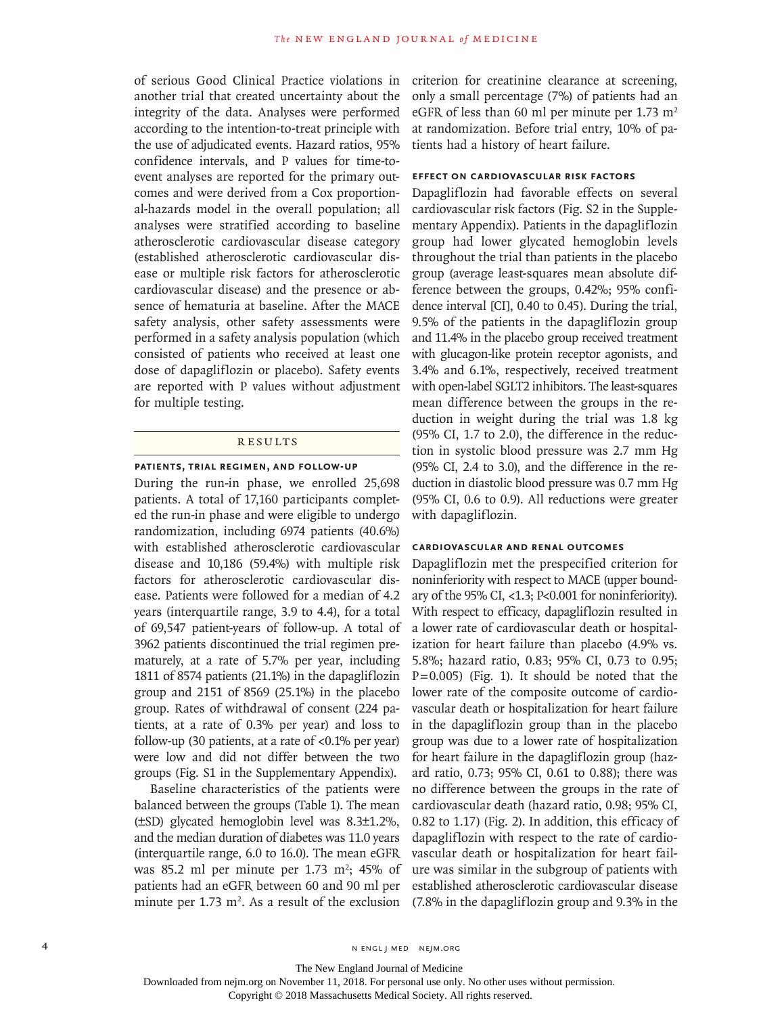of serious Good Clinical Practice violations in another trial that created uncertainty about the integrity of the data. Analyses were performed according to the intention-to-treat principle with the use of adjudicated events. Hazard ratios, 95% confidence intervals, and P values for time-toevent analyses are reported for the primary outcomes and were derived from a Cox proportional-hazards model in the overall population; all analyses were stratified according to baseline atherosclerotic cardiovascular disease category (established atherosclerotic cardiovascular disease or multiple risk factors for atherosclerotic cardiovascular disease) and the presence or absence of hematuria at baseline. After the MACE safety analysis, other safety assessments were performed in a safety analysis population (which consisted of patients who received at least one dose of dapagliflozin or placebo). Safety events are reported with P values without adjustment for multiple testing.

#### Results

#### **Patients, Trial Regimen, and Follow-up**

During the run-in phase, we enrolled 25,698 patients. A total of 17,160 participants completed the run-in phase and were eligible to undergo randomization, including 6974 patients (40.6%) with established atherosclerotic cardiovascular disease and 10,186 (59.4%) with multiple risk factors for atherosclerotic cardiovascular disease. Patients were followed for a median of 4.2 years (interquartile range, 3.9 to 4.4), for a total of 69,547 patient-years of follow-up. A total of 3962 patients discontinued the trial regimen prematurely, at a rate of 5.7% per year, including 1811 of 8574 patients (21.1%) in the dapagliflozin group and 2151 of 8569 (25.1%) in the placebo group. Rates of withdrawal of consent (224 patients, at a rate of 0.3% per year) and loss to follow-up (30 patients, at a rate of  $\langle 0.1\%$  per year) were low and did not differ between the two groups (Fig. S1 in the Supplementary Appendix).

Baseline characteristics of the patients were balanced between the groups (Table 1). The mean (±SD) glycated hemoglobin level was 8.3±1.2%, and the median duration of diabetes was 11.0 years (interquartile range, 6.0 to 16.0). The mean eGFR was 85.2 ml per minute per 1.73  $m^2$ ; 45% of patients had an eGFR between 60 and 90 ml per minute per  $1.73 \text{ m}^2$ . As a result of the exclusion

criterion for creatinine clearance at screening, only a small percentage (7%) of patients had an eGFR of less than 60 ml per minute per 1.73 m<sup>2</sup> at randomization. Before trial entry, 10% of patients had a history of heart failure.

## **Effect on Cardiovascular Risk Factors**

Dapagliflozin had favorable effects on several cardiovascular risk factors (Fig. S2 in the Supplementary Appendix). Patients in the dapagliflozin group had lower glycated hemoglobin levels throughout the trial than patients in the placebo group (average least-squares mean absolute difference between the groups, 0.42%; 95% confidence interval [CI], 0.40 to 0.45). During the trial, 9.5% of the patients in the dapagliflozin group and 11.4% in the placebo group received treatment with glucagon-like protein receptor agonists, and 3.4% and 6.1%, respectively, received treatment with open-label SGLT2 inhibitors. The least-squares mean difference between the groups in the reduction in weight during the trial was 1.8 kg (95% CI, 1.7 to 2.0), the difference in the reduction in systolic blood pressure was 2.7 mm Hg (95% CI, 2.4 to 3.0), and the difference in the reduction in diastolic blood pressure was 0.7 mm Hg (95% CI, 0.6 to 0.9). All reductions were greater with dapagliflozin.

#### **Cardiovascular and Renal Outcomes**

Dapagliflozin met the prespecified criterion for noninferiority with respect to MACE (upper boundary of the 95% CI, <1.3; P<0.001 for noninferiority). With respect to efficacy, dapagliflozin resulted in a lower rate of cardiovascular death or hospitalization for heart failure than placebo (4.9% vs. 5.8%; hazard ratio, 0.83; 95% CI, 0.73 to 0.95;  $P=0.005$ ) (Fig. 1). It should be noted that the lower rate of the composite outcome of cardiovascular death or hospitalization for heart failure in the dapagliflozin group than in the placebo group was due to a lower rate of hospitalization for heart failure in the dapagliflozin group (hazard ratio, 0.73; 95% CI, 0.61 to 0.88); there was no difference between the groups in the rate of cardiovascular death (hazard ratio, 0.98; 95% CI, 0.82 to 1.17) (Fig. 2). In addition, this efficacy of dapagliflozin with respect to the rate of cardiovascular death or hospitalization for heart failure was similar in the subgroup of patients with established atherosclerotic cardiovascular disease (7.8% in the dapagliflozin group and 9.3% in the

The New England Journal of Medicine Downloaded from nejm.org on November 11, 2018. For personal use only. No other uses without permission.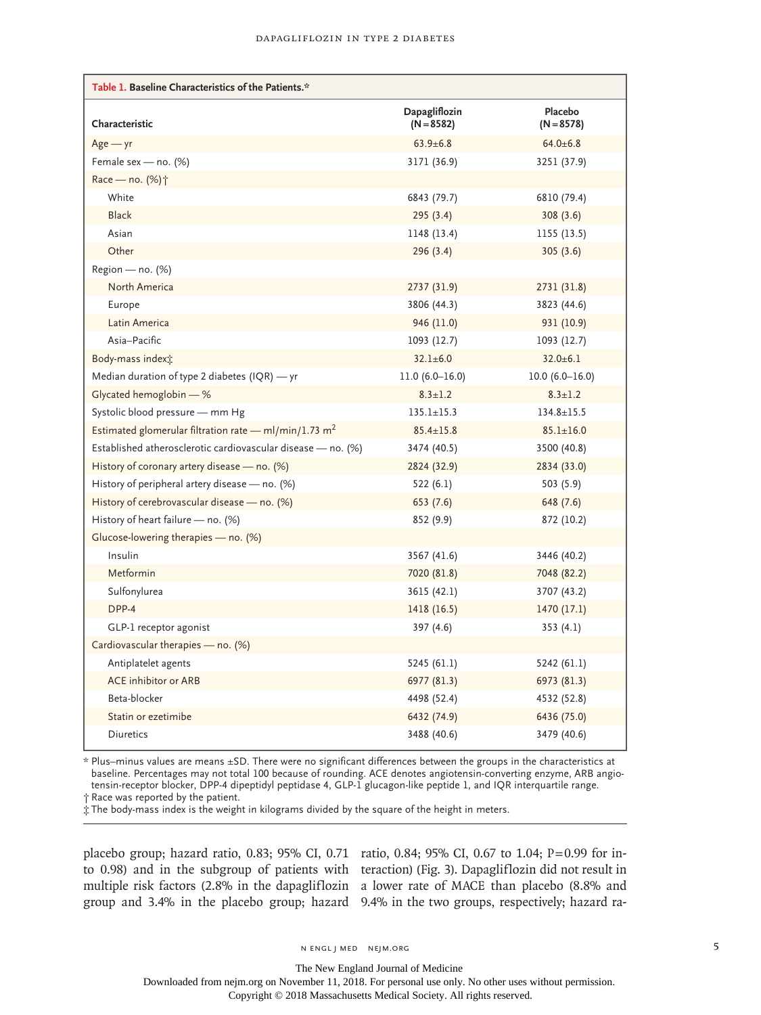| Table 1. Baseline Characteristics of the Patients.*               |                               |                         |  |  |  |  |
|-------------------------------------------------------------------|-------------------------------|-------------------------|--|--|--|--|
| Characteristic                                                    | Dapagliflozin<br>$(N = 8582)$ | Placebo<br>$(N = 8578)$ |  |  |  |  |
| $Age - yr$                                                        | $63.9 + 6.8$                  | $64.0 + 6.8$            |  |  |  |  |
| Female sex - no. (%)                                              | 3171 (36.9)                   | 3251 (37.9)             |  |  |  |  |
| $\mathsf{Race}$ — no. $(\%)\dagger$                               |                               |                         |  |  |  |  |
| White                                                             | 6843 (79.7)                   | 6810 (79.4)             |  |  |  |  |
| <b>Black</b>                                                      | 295(3.4)                      | 308(3.6)                |  |  |  |  |
| Asian                                                             | 1148 (13.4)                   | 1155 (13.5)             |  |  |  |  |
| Other                                                             | 296(3.4)                      | 305(3.6)                |  |  |  |  |
| $Region - no. (%)$                                                |                               |                         |  |  |  |  |
| North America                                                     | 2737 (31.9)                   | 2731 (31.8)             |  |  |  |  |
| Europe                                                            | 3806 (44.3)                   | 3823 (44.6)             |  |  |  |  |
| Latin America                                                     | 946 (11.0)                    | 931 (10.9)              |  |  |  |  |
| Asia-Pacific                                                      | 1093 (12.7)                   | 1093 (12.7)             |  |  |  |  |
| Body-mass indext:                                                 | $32.1 \pm 6.0$                | $32.0 \pm 6.1$          |  |  |  |  |
| Median duration of type 2 diabetes $(IQR)$ — yr                   | $11.0(6.0-16.0)$              | $10.0 (6.0 - 16.0)$     |  |  |  |  |
| Glycated hemoglobin $-$ %                                         | $8.3 \pm 1.2$                 | $8.3 \pm 1.2$           |  |  |  |  |
| Systolic blood pressure - mm Hg                                   | $135.1 \pm 15.3$              | $134.8 \pm 15.5$        |  |  |  |  |
| Estimated glomerular filtration rate - ml/min/1.73 m <sup>2</sup> | $85.4 \pm 15.8$               | $85.1 \pm 16.0$         |  |  |  |  |
| Established atherosclerotic cardiovascular disease - no. (%)      | 3474 (40.5)                   | 3500 (40.8)             |  |  |  |  |
| History of coronary artery disease - no. (%)                      | 2824 (32.9)                   | 2834 (33.0)             |  |  |  |  |
| History of peripheral artery disease - no. (%)                    | 522(6.1)                      | 503 (5.9)               |  |  |  |  |
| History of cerebrovascular disease — no. (%)                      | 653(7.6)                      | 648(7.6)                |  |  |  |  |
| History of heart failure - no. (%)                                | 852 (9.9)                     | 872 (10.2)              |  |  |  |  |
| Glucose-lowering therapies — no. (%)                              |                               |                         |  |  |  |  |
| Insulin                                                           | 3567 (41.6)                   | 3446 (40.2)             |  |  |  |  |
| Metformin                                                         | 7020 (81.8)                   | 7048 (82.2)             |  |  |  |  |
| Sulfonylurea                                                      | 3615 (42.1)                   | 3707 (43.2)             |  |  |  |  |
| DPP-4                                                             | 1418 (16.5)                   | 1470 (17.1)             |  |  |  |  |
| GLP-1 receptor agonist                                            | 397 (4.6)                     | 353(4.1)                |  |  |  |  |
| Cardiovascular therapies $-$ no. (%)                              |                               |                         |  |  |  |  |
| Antiplatelet agents                                               | 5245 (61.1)                   | 5242 (61.1)             |  |  |  |  |
| <b>ACE</b> inhibitor or ARB                                       | 6977 (81.3)                   | 6973 (81.3)             |  |  |  |  |
| Beta-blocker                                                      | 4498 (52.4)                   | 4532 (52.8)             |  |  |  |  |
| Statin or ezetimibe                                               | 6432 (74.9)                   | 6436 (75.0)             |  |  |  |  |
| <b>Diuretics</b>                                                  | 3488 (40.6)                   | 3479 (40.6)             |  |  |  |  |

\* Plus–minus values are means ±SD. There were no significant differences between the groups in the characteristics at baseline. Percentages may not total 100 because of rounding. ACE denotes angiotensin-converting enzyme, ARB angiotensin-receptor blocker, DPP-4 dipeptidyl peptidase 4, GLP-1 glucagon-like peptide 1, and IQR interquartile range.

† Race was reported by the patient.

‡ The body-mass index is the weight in kilograms divided by the square of the height in meters.

placebo group; hazard ratio, 0.83; 95% CI, 0.71 ratio, 0.84; 95% CI, 0.67 to 1.04; P=0.99 for into 0.98) and in the subgroup of patients with teraction) (Fig. 3). Dapagliflozin did not result in multiple risk factors (2.8% in the dapagliflozin a lower rate of MACE than placebo (8.8% and group and 3.4% in the placebo group; hazard 9.4% in the two groups, respectively; hazard ra-

The New England Journal of Medicine

Downloaded from nejm.org on November 11, 2018. For personal use only. No other uses without permission.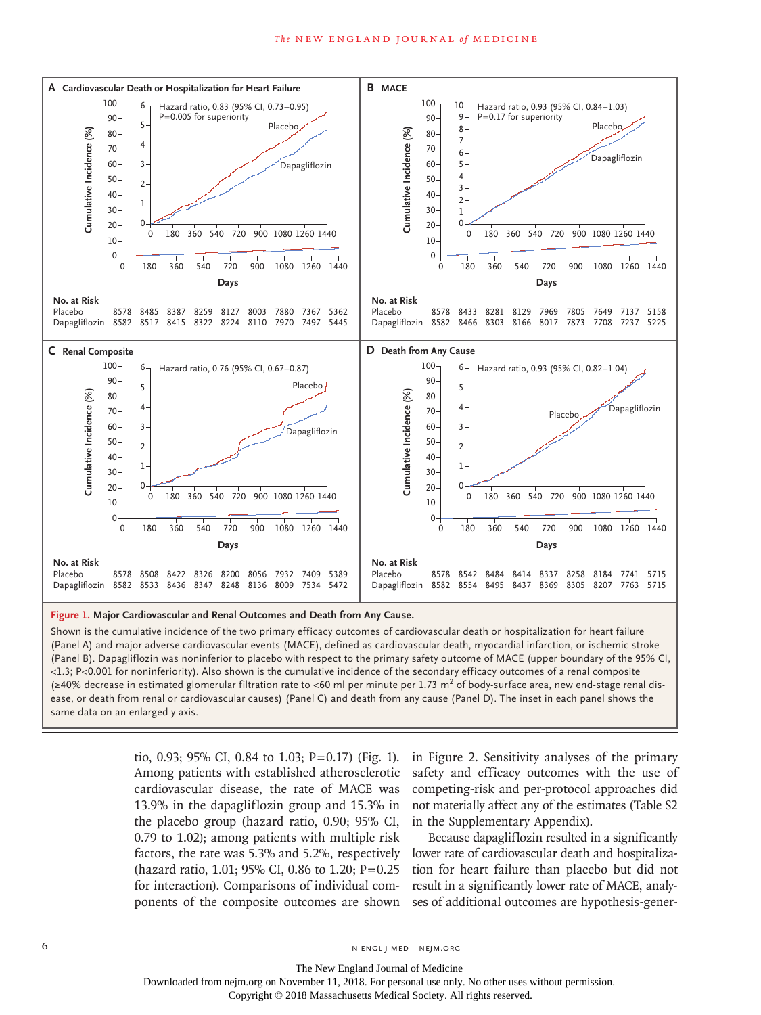#### The NEW ENGLAND JOURNAL of MEDICINE



**Figure 1. Major Cardiovascular and Renal Outcomes and Death from Any Cause.**

Shown is the cumulative incidence of the two primary efficacy outcomes of cardiovascular death or hospitalization for heart failure (Panel A) and major adverse cardiovascular events (MACE), defined as cardiovascular death, myocardial infarction, or ischemic stroke (Panel B). Dapagliflozin was noninferior to placebo with respect to the primary safety outcome of MACE (upper boundary of the 95% CI, <1.3; P<0.001 for noninferiority). Also shown is the cumulative incidence of the secondary efficacy outcomes of a renal composite (≥40% decrease in estimated glomerular filtration rate to <60 ml per minute per 1.73 m<sup>2</sup> of body-surface area, new end-stage renal disease, or death from renal or cardiovascular causes) (Panel C) and death from any cause (Panel D). The inset in each panel shows the

> tio, 0.93; 95% CI, 0.84 to 1.03;  $P=0.17$ ) (Fig. 1). Among patients with established atherosclerotic cardiovascular disease, the rate of MACE was 13.9% in the dapagliflozin group and 15.3% in the placebo group (hazard ratio, 0.90; 95% CI, 0.79 to 1.02); among patients with multiple risk factors, the rate was 5.3% and 5.2%, respectively (hazard ratio, 1.01; 95% CI, 0.86 to 1.20; P=0.25 for interaction). Comparisons of individual components of the composite outcomes are shown

in Figure 2. Sensitivity analyses of the primary safety and efficacy outcomes with the use of competing-risk and per-protocol approaches did not materially affect any of the estimates (Table S2 in the Supplementary Appendix).

Because dapagliflozin resulted in a significantly lower rate of cardiovascular death and hospitalization for heart failure than placebo but did not result in a significantly lower rate of MACE, analyses of additional outcomes are hypothesis-gener-

The New England Journal of Medicine Downloaded from nejm.org on November 11, 2018. For personal use only. No other uses without permission.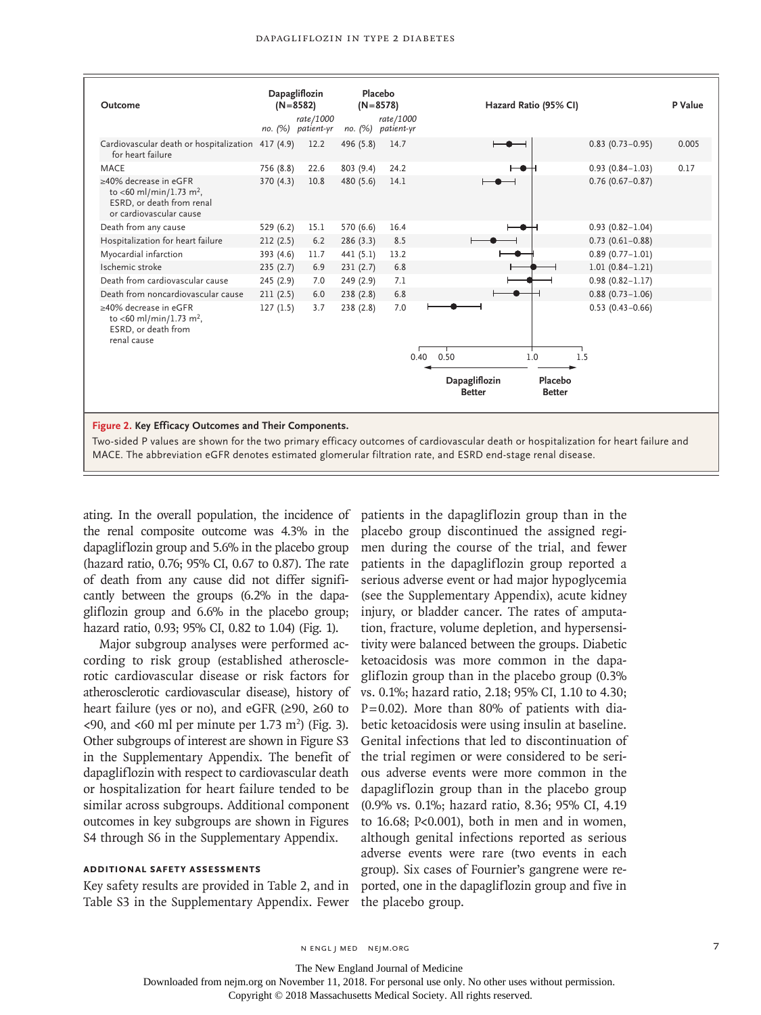| Outcome                                                                                                                                                                                                                                                                                                     | Dapagliflozin<br>$(N = 8582)$ |           |           | Placebo<br>$(N = 8578)$ |      |                                | Hazard Ratio (95% CI) |                          |                           | P Value |
|-------------------------------------------------------------------------------------------------------------------------------------------------------------------------------------------------------------------------------------------------------------------------------------------------------------|-------------------------------|-----------|-----------|-------------------------|------|--------------------------------|-----------------------|--------------------------|---------------------------|---------|
|                                                                                                                                                                                                                                                                                                             | no. $(\%)$ patient-yr         | rate/1000 | по. (%)   | rate/1000<br>patient-yr |      |                                |                       |                          |                           |         |
| Cardiovascular death or hospitalization<br>for heart failure                                                                                                                                                                                                                                                | 417(4.9)                      | 12.2      | 496 (5.8) | 14.7                    |      |                                |                       |                          | $0.83$ (0.73 - 0.95)      | 0.005   |
| <b>MACE</b>                                                                                                                                                                                                                                                                                                 | 756 (8.8)                     | 22.6      | 803 (9.4) | 24.2                    |      |                                |                       |                          | $0.93(0.84 - 1.03)$       | 0.17    |
| >40% decrease in eGFR<br>to <60 ml/min/1.73 m <sup>2</sup> ,<br>ESRD, or death from renal<br>or cardiovascular cause                                                                                                                                                                                        | 370(4.3)                      | 10.8      | 480 (5.6) | 14.1                    |      |                                |                       |                          | $0.76$ (0.67-0.87)        |         |
| Death from any cause                                                                                                                                                                                                                                                                                        | 529 (6.2)                     | 15.1      | 570 (6.6) | 16.4                    |      |                                |                       |                          | $0.93(0.82 - 1.04)$       |         |
| Hospitalization for heart failure                                                                                                                                                                                                                                                                           | 212(2.5)                      | $6.2$     | 286(3.3)  | 8.5                     |      |                                |                       |                          | $0.73$ $(0.61 - 0.88)$    |         |
| Myocardial infarction                                                                                                                                                                                                                                                                                       | 393 (4.6)                     | 11.7      | 441 (5.1) | 13.2                    |      |                                |                       |                          | $0.89(0.77 - 1.01)$       |         |
| Ischemic stroke                                                                                                                                                                                                                                                                                             | 235(2.7)                      | 6.9       | 231(2.7)  | 6.8                     |      |                                |                       |                          | $1.01(0.84 - 1.21)$       |         |
| Death from cardiovascular cause                                                                                                                                                                                                                                                                             | 245(2.9)                      | 7.0       | 249 (2.9) | 7.1                     |      |                                |                       |                          | $0.98(0.82 - 1.17)$       |         |
| Death from noncardiovascular cause                                                                                                                                                                                                                                                                          | 211(2.5)                      | 6.0       | 238(2.8)  | 6.8                     |      |                                |                       |                          | $0.88(0.73 - 1.06)$       |         |
| $\geq$ 40% decrease in eGFR<br>to <60 ml/min/1.73 m <sup>2</sup> ,<br>ESRD, or death from<br>renal cause                                                                                                                                                                                                    | 127(1.5)                      | 3.7       | 238(2.8)  | 7.0                     | 0.40 | 0.50                           |                       | 1.0                      | $0.53$ (0.43-0.66)<br>1.5 |         |
|                                                                                                                                                                                                                                                                                                             |                               |           |           |                         |      |                                |                       |                          |                           |         |
|                                                                                                                                                                                                                                                                                                             |                               |           |           |                         |      | Dapagliflozin<br><b>Better</b> |                       | Placebo<br><b>Better</b> |                           |         |
| Figure 2. Key Efficacy Outcomes and Their Components.<br>Two-sided P values are shown for the two primary efficacy outcomes of cardiovascular death or hospitalization for heart failure and<br>MACE. The abbreviation eGFR denotes estimated glomerular filtration rate, and ESRD end-stage renal disease. |                               |           |           |                         |      |                                |                       |                          |                           |         |

ating. In the overall population, the incidence of the renal composite outcome was 4.3% in the dapagliflozin group and 5.6% in the placebo group (hazard ratio, 0.76; 95% CI, 0.67 to 0.87). The rate of death from any cause did not differ significantly between the groups (6.2% in the dapagliflozin group and 6.6% in the placebo group; hazard ratio, 0.93; 95% CI, 0.82 to 1.04) (Fig. 1).

Major subgroup analyses were performed according to risk group (established atherosclerotic cardiovascular disease or risk factors for atherosclerotic cardiovascular disease), history of heart failure (yes or no), and eGFR (≥90, ≥60 to  $\langle 90, \text{ and } \langle 60 \text{ ml per minute per } 1.73 \text{ m}^2 \rangle$  (Fig. 3). Other subgroups of interest are shown in Figure S3 in the Supplementary Appendix. The benefit of dapagliflozin with respect to cardiovascular death or hospitalization for heart failure tended to be similar across subgroups. Additional component outcomes in key subgroups are shown in Figures S4 through S6 in the Supplementary Appendix.

## **Additional Safety Assessments**

Key safety results are provided in Table 2, and in Table S3 in the Supplementary Appendix. Fewer

patients in the dapagliflozin group than in the placebo group discontinued the assigned regimen during the course of the trial, and fewer patients in the dapagliflozin group reported a serious adverse event or had major hypoglycemia (see the Supplementary Appendix), acute kidney injury, or bladder cancer. The rates of amputation, fracture, volume depletion, and hypersensitivity were balanced between the groups. Diabetic ketoacidosis was more common in the dapagliflozin group than in the placebo group (0.3% vs. 0.1%; hazard ratio, 2.18; 95% CI, 1.10 to 4.30;  $P=0.02$ ). More than 80% of patients with diabetic ketoacidosis were using insulin at baseline. Genital infections that led to discontinuation of the trial regimen or were considered to be serious adverse events were more common in the dapagliflozin group than in the placebo group (0.9% vs. 0.1%; hazard ratio, 8.36; 95% CI, 4.19 to 16.68; P<0.001), both in men and in women, although genital infections reported as serious adverse events were rare (two events in each group). Six cases of Fournier's gangrene were reported, one in the dapagliflozin group and five in the placebo group.

The New England Journal of Medicine

Downloaded from nejm.org on November 11, 2018. For personal use only. No other uses without permission.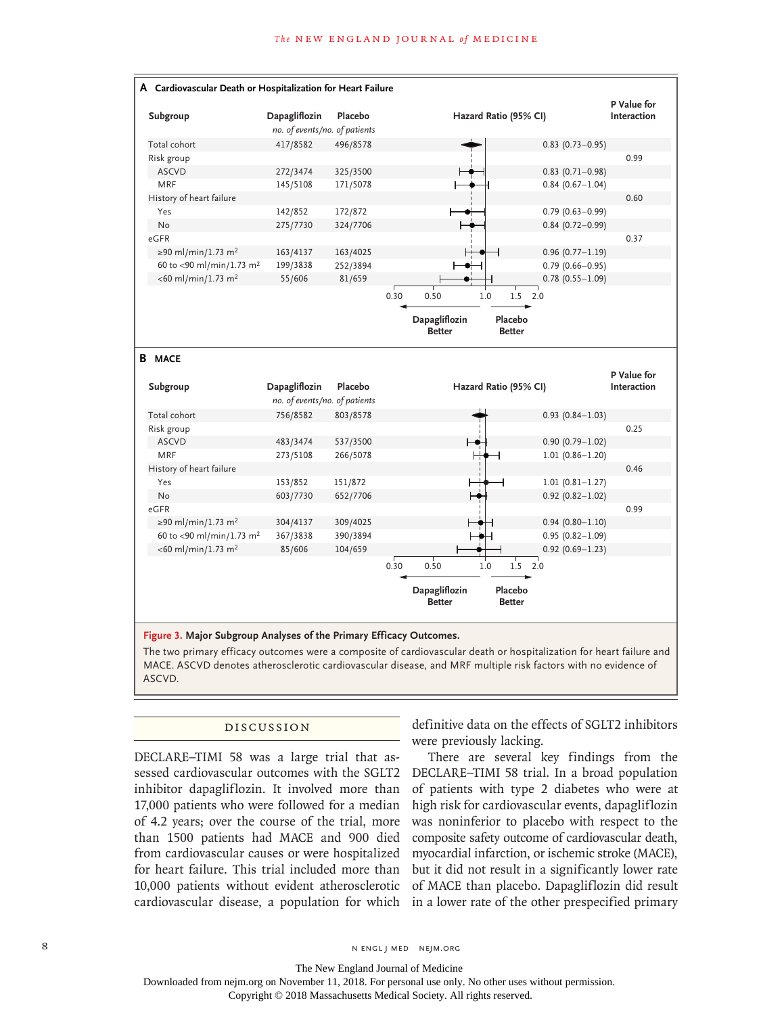

The two primary efficacy outcomes were a composite of cardiovascular death or hospitalization for heart failure and MACE. ASCVD denotes atherosclerotic cardiovascular disease, and MRF multiple risk factors with no evidence of ASCVD.

#### Discussion

DECLARE–TIMI 58 was a large trial that assessed cardiovascular outcomes with the SGLT2 inhibitor dapagliflozin. It involved more than 17,000 patients who were followed for a median of 4.2 years; over the course of the trial, more than 1500 patients had MACE and 900 died from cardiovascular causes or were hospitalized for heart failure. This trial included more than 10,000 patients without evident atherosclerotic cardiovascular disease, a population for which definitive data on the effects of SGLT2 inhibitors were previously lacking.

There are several key findings from the DECLARE–TIMI 58 trial. In a broad population of patients with type 2 diabetes who were at high risk for cardiovascular events, dapagliflozin was noninferior to placebo with respect to the composite safety outcome of cardiovascular death, myocardial infarction, or ischemic stroke (MACE), but it did not result in a significantly lower rate of MACE than placebo. Dapagliflozin did result in a lower rate of the other prespecified primary

The New England Journal of Medicine Downloaded from nejm.org on November 11, 2018. For personal use only. No other uses without permission.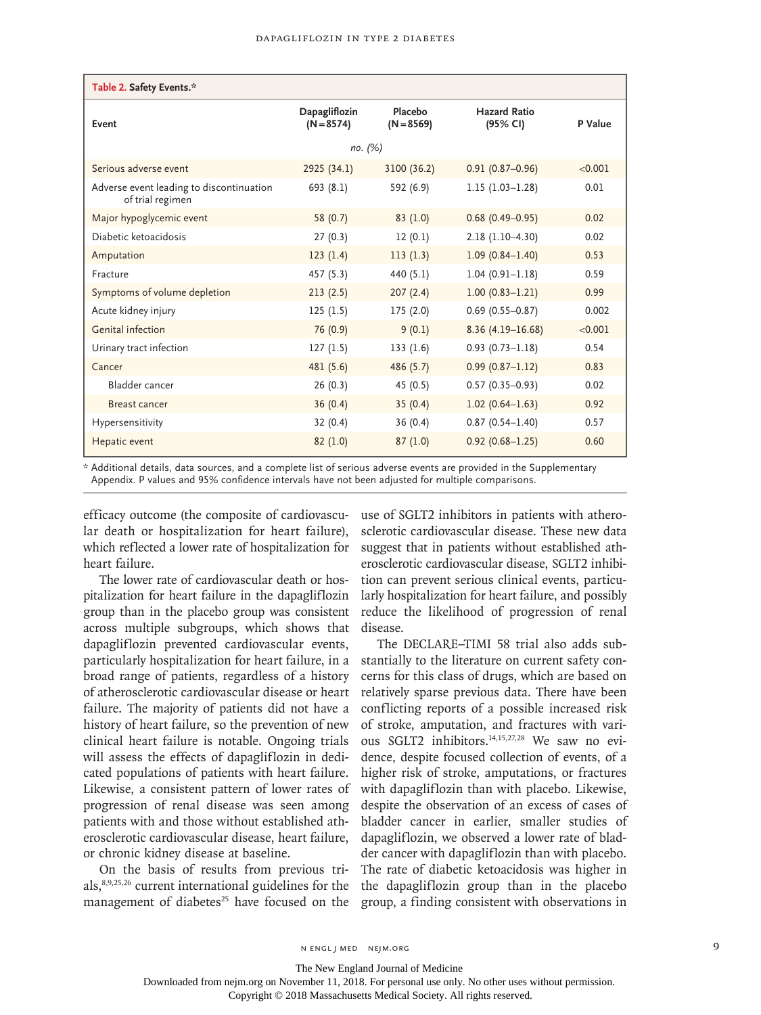| Table 2. Safety Events.*                                     |                               |                         |                                 |         |  |  |  |  |
|--------------------------------------------------------------|-------------------------------|-------------------------|---------------------------------|---------|--|--|--|--|
| Event                                                        | Dapagliflozin<br>$(N = 8574)$ | Placebo<br>$(N = 8569)$ | <b>Hazard Ratio</b><br>(95% CI) | P Value |  |  |  |  |
|                                                              | no. (%)                       |                         |                                 |         |  |  |  |  |
| Serious adverse event                                        | 2925 (34.1)                   | 3100 (36.2)             | $0.91(0.87 - 0.96)$             | < 0.001 |  |  |  |  |
| Adverse event leading to discontinuation<br>of trial regimen | 693 (8.1)                     | 592 (6.9)               | $1.15(1.03-1.28)$               | 0.01    |  |  |  |  |
| Major hypoglycemic event                                     | 58 $(0.7)$                    | 83(1.0)                 | $0.68(0.49 - 0.95)$             | 0.02    |  |  |  |  |
| Diabetic ketoacidosis                                        | 27(0.3)                       | 12(0.1)                 | $2.18(1.10-4.30)$               | 0.02    |  |  |  |  |
| Amputation                                                   | 123(1.4)                      | 113(1.3)                | $1.09(0.84 - 1.40)$             | 0.53    |  |  |  |  |
| Fracture                                                     | 457 (5.3)                     | 440 (5.1)               | $1.04(0.91 - 1.18)$             | 0.59    |  |  |  |  |
| Symptoms of volume depletion                                 | 213(2.5)                      | 207(2.4)                | $1.00(0.83 - 1.21)$             | 0.99    |  |  |  |  |
| Acute kidney injury                                          | 125(1.5)                      | 175(2.0)                | $0.69(0.55 - 0.87)$             | 0.002   |  |  |  |  |
| Genital infection                                            | 76 (0.9)                      | 9(0.1)                  | $8.36(4.19 - 16.68)$            | < 0.001 |  |  |  |  |
| Urinary tract infection                                      | 127(1.5)                      | 133(1.6)                | $0.93(0.73 - 1.18)$             | 0.54    |  |  |  |  |
| Cancer                                                       | 481 (5.6)                     | 486(5.7)                | $0.99(0.87 - 1.12)$             | 0.83    |  |  |  |  |
| Bladder cancer                                               | 26(0.3)                       | 45(0.5)                 | $0.57(0.35 - 0.93)$             | 0.02    |  |  |  |  |
| <b>Breast cancer</b>                                         | 36(0.4)                       | 35(0.4)                 | $1.02(0.64 - 1.63)$             | 0.92    |  |  |  |  |
| Hypersensitivity                                             | 32(0.4)                       | 36(0.4)                 | $0.87(0.54 - 1.40)$             | 0.57    |  |  |  |  |
| Hepatic event                                                | 82(1.0)                       | 87(1.0)                 | $0.92(0.68 - 1.25)$             | 0.60    |  |  |  |  |

\* Additional details, data sources, and a complete list of serious adverse events are provided in the Supplementary Appendix. P values and 95% confidence intervals have not been adjusted for multiple comparisons.

efficacy outcome (the composite of cardiovascular death or hospitalization for heart failure), which reflected a lower rate of hospitalization for heart failure.

The lower rate of cardiovascular death or hospitalization for heart failure in the dapagliflozin group than in the placebo group was consistent across multiple subgroups, which shows that dapagliflozin prevented cardiovascular events, particularly hospitalization for heart failure, in a broad range of patients, regardless of a history of atherosclerotic cardiovascular disease or heart failure. The majority of patients did not have a history of heart failure, so the prevention of new clinical heart failure is notable. Ongoing trials will assess the effects of dapagliflozin in dedicated populations of patients with heart failure. Likewise, a consistent pattern of lower rates of progression of renal disease was seen among patients with and those without established atherosclerotic cardiovascular disease, heart failure, or chronic kidney disease at baseline.

On the basis of results from previous trials,8,9,25,26 current international guidelines for the management of diabetes<sup>25</sup> have focused on the

use of SGLT2 inhibitors in patients with atherosclerotic cardiovascular disease. These new data suggest that in patients without established atherosclerotic cardiovascular disease, SGLT2 inhibition can prevent serious clinical events, particularly hospitalization for heart failure, and possibly reduce the likelihood of progression of renal disease.

The DECLARE–TIMI 58 trial also adds substantially to the literature on current safety concerns for this class of drugs, which are based on relatively sparse previous data. There have been conflicting reports of a possible increased risk of stroke, amputation, and fractures with various SGLT2 inhibitors.14,15,27,28 We saw no evidence, despite focused collection of events, of a higher risk of stroke, amputations, or fractures with dapagliflozin than with placebo. Likewise, despite the observation of an excess of cases of bladder cancer in earlier, smaller studies of dapagliflozin, we observed a lower rate of bladder cancer with dapagliflozin than with placebo. The rate of diabetic ketoacidosis was higher in the dapagliflozin group than in the placebo group, a finding consistent with observations in

The New England Journal of Medicine

Downloaded from nejm.org on November 11, 2018. For personal use only. No other uses without permission.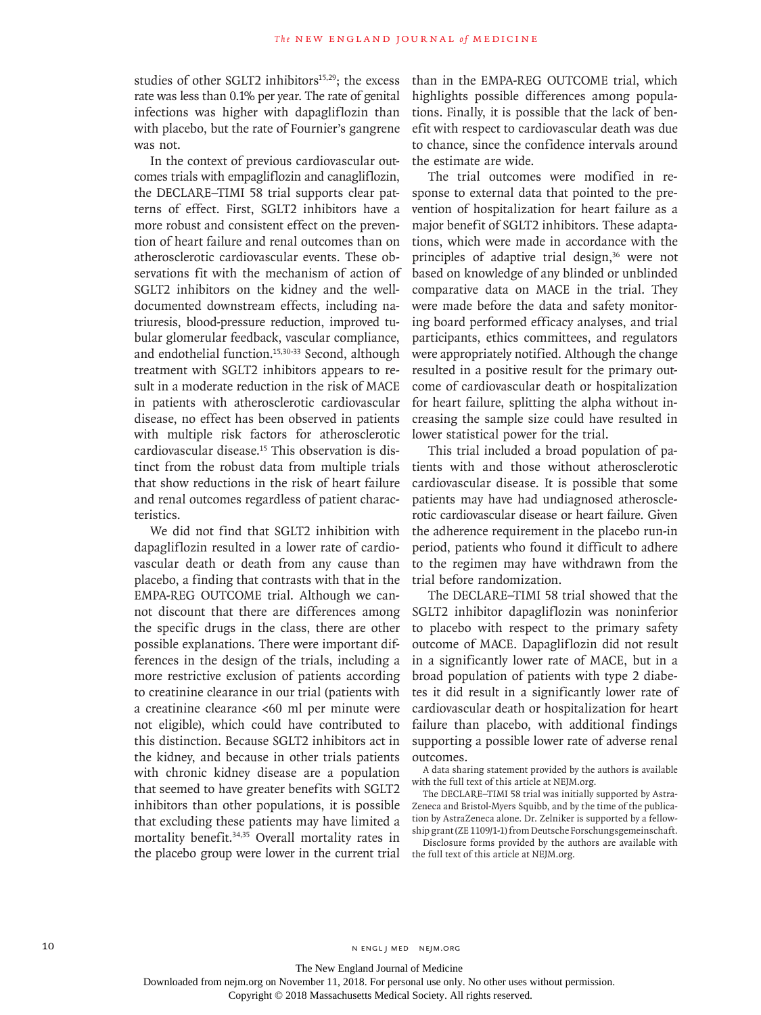studies of other SGLT2 inhibitors $15,29$ ; the excess rate was less than 0.1% per year. The rate of genital infections was higher with dapagliflozin than with placebo, but the rate of Fournier's gangrene was not.

In the context of previous cardiovascular outcomes trials with empagliflozin and canagliflozin, the DECLARE–TIMI 58 trial supports clear patterns of effect. First, SGLT2 inhibitors have a more robust and consistent effect on the prevention of heart failure and renal outcomes than on atherosclerotic cardiovascular events. These observations fit with the mechanism of action of SGLT2 inhibitors on the kidney and the welldocumented downstream effects, including natriuresis, blood-pressure reduction, improved tubular glomerular feedback, vascular compliance, and endothelial function.15,30-33 Second, although treatment with SGLT2 inhibitors appears to result in a moderate reduction in the risk of MACE in patients with atherosclerotic cardiovascular disease, no effect has been observed in patients with multiple risk factors for atherosclerotic cardiovascular disease.15 This observation is distinct from the robust data from multiple trials that show reductions in the risk of heart failure and renal outcomes regardless of patient characteristics.

We did not find that SGLT2 inhibition with dapagliflozin resulted in a lower rate of cardiovascular death or death from any cause than placebo, a finding that contrasts with that in the EMPA-REG OUTCOME trial. Although we cannot discount that there are differences among the specific drugs in the class, there are other possible explanations. There were important differences in the design of the trials, including a more restrictive exclusion of patients according to creatinine clearance in our trial (patients with a creatinine clearance <60 ml per minute were not eligible), which could have contributed to this distinction. Because SGLT2 inhibitors act in the kidney, and because in other trials patients with chronic kidney disease are a population that seemed to have greater benefits with SGLT2 inhibitors than other populations, it is possible that excluding these patients may have limited a mortality benefit.34,35 Overall mortality rates in the placebo group were lower in the current trial than in the EMPA-REG OUTCOME trial, which highlights possible differences among populations. Finally, it is possible that the lack of benefit with respect to cardiovascular death was due to chance, since the confidence intervals around the estimate are wide.

The trial outcomes were modified in response to external data that pointed to the prevention of hospitalization for heart failure as a major benefit of SGLT2 inhibitors. These adaptations, which were made in accordance with the principles of adaptive trial design,<sup>36</sup> were not based on knowledge of any blinded or unblinded comparative data on MACE in the trial. They were made before the data and safety monitoring board performed efficacy analyses, and trial participants, ethics committees, and regulators were appropriately notified. Although the change resulted in a positive result for the primary outcome of cardiovascular death or hospitalization for heart failure, splitting the alpha without increasing the sample size could have resulted in lower statistical power for the trial.

This trial included a broad population of patients with and those without atherosclerotic cardiovascular disease. It is possible that some patients may have had undiagnosed atherosclerotic cardiovascular disease or heart failure. Given the adherence requirement in the placebo run-in period, patients who found it difficult to adhere to the regimen may have withdrawn from the trial before randomization.

The DECLARE–TIMI 58 trial showed that the SGLT2 inhibitor dapagliflozin was noninferior to placebo with respect to the primary safety outcome of MACE. Dapagliflozin did not result in a significantly lower rate of MACE, but in a broad population of patients with type 2 diabetes it did result in a significantly lower rate of cardiovascular death or hospitalization for heart failure than placebo, with additional findings supporting a possible lower rate of adverse renal outcomes.

A data sharing statement provided by the authors is available with the full text of this article at NEJM.org.

The DECLARE–TIMI 58 trial was initially supported by Astra-Zeneca and Bristol-Myers Squibb, and by the time of the publication by AstraZeneca alone. Dr. Zelniker is supported by a fellowship grant (ZE 1109/1-1) from Deutsche Forschungsgemeinschaft.

Disclosure forms provided by the authors are available with the full text of this article at NEJM.org.

10 N ENGL J MED NEJM.ORG

The New England Journal of Medicine

Downloaded from nejm.org on November 11, 2018. For personal use only. No other uses without permission.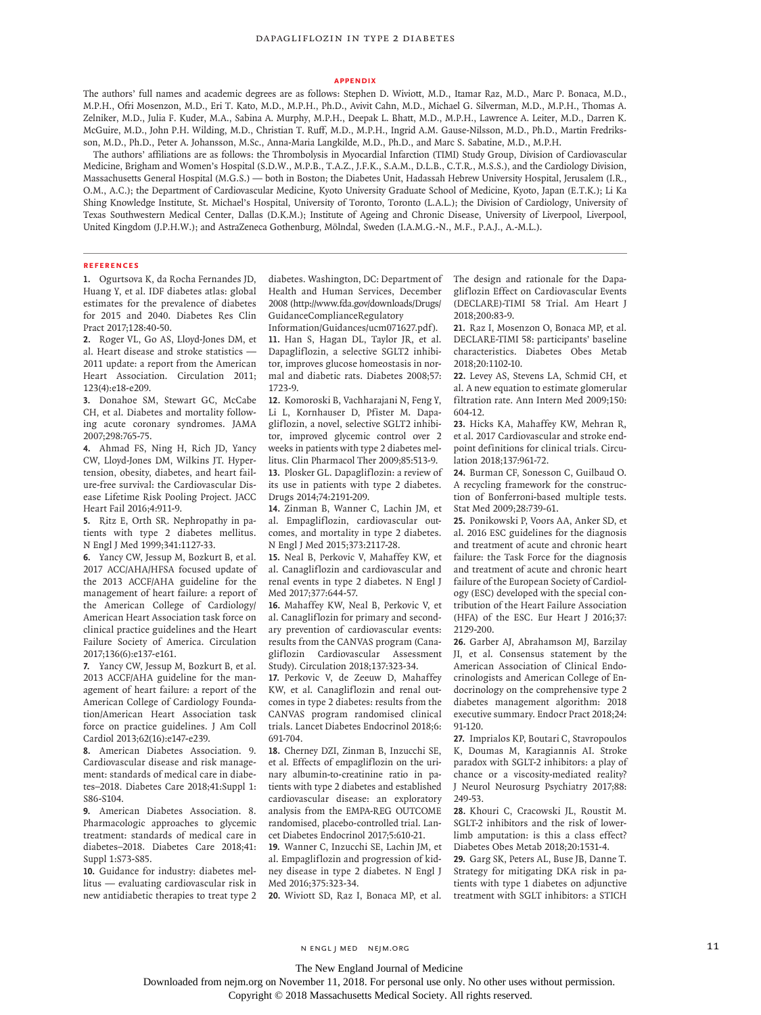#### **Appendix**

The authors' full names and academic degrees are as follows: Stephen D. Wiviott, M.D., Itamar Raz, M.D., Marc P. Bonaca, M.D., M.P.H., Ofri Mosenzon, M.D., Eri T. Kato, M.D., M.P.H., Ph.D., Avivit Cahn, M.D., Michael G. Silverman, M.D., M.P.H., Thomas A. Zelniker, M.D., Julia F. Kuder, M.A., Sabina A. Murphy, M.P.H., Deepak L. Bhatt, M.D., M.P.H., Lawrence A. Leiter, M.D., Darren K. McGuire, M.D., John P.H. Wilding, M.D., Christian T. Ruff, M.D., M.P.H., Ingrid A.M. Gause-Nilsson, M.D., Ph.D., Martin Fredriksson, M.D., Ph.D., Peter A. Johansson, M.Sc., Anna-Maria Langkilde, M.D., Ph.D., and Marc S. Sabatine, M.D., M.P.H.

The authors' affiliations are as follows: the Thrombolysis in Myocardial Infarction (TIMI) Study Group, Division of Cardiovascular Medicine, Brigham and Women's Hospital (S.D.W., M.P.B., T.A.Z., J.F.K., S.A.M., D.L.B., C.T.R., M.S.S.), and the Cardiology Division, Massachusetts General Hospital (M.G.S.) — both in Boston; the Diabetes Unit, Hadassah Hebrew University Hospital, Jerusalem (I.R., O.M., A.C.); the Department of Cardiovascular Medicine, Kyoto University Graduate School of Medicine, Kyoto, Japan (E.T.K.); Li Ka Shing Knowledge Institute, St. Michael's Hospital, University of Toronto, Toronto (L.A.L.); the Division of Cardiology, University of Texas Southwestern Medical Center, Dallas (D.K.M.); Institute of Ageing and Chronic Disease, University of Liverpool, Liverpool, United Kingdom (J.P.H.W.); and AstraZeneca Gothenburg, Mölndal, Sweden (I.A.M.G.-N., M.F., P.A.J., A.-M.L.).

#### **References**

**1.** Ogurtsova K, da Rocha Fernandes JD, Huang Y, et al. IDF diabetes atlas: global estimates for the prevalence of diabetes for 2015 and 2040. Diabetes Res Clin Pract 2017;128:40-50.

**2.** Roger VL, Go AS, Lloyd-Jones DM, et al. Heart disease and stroke statistics — 2011 update: a report from the American Heart Association. Circulation 2011; 123(4):e18-e209.

**3.** Donahoe SM, Stewart GC, McCabe CH, et al. Diabetes and mortality following acute coronary syndromes. JAMA 2007;298:765-75.

**4.** Ahmad FS, Ning H, Rich JD, Yancy CW, Lloyd-Jones DM, Wilkins JT. Hypertension, obesity, diabetes, and heart failure-free survival: the Cardiovascular Disease Lifetime Risk Pooling Project. JACC Heart Fail 2016;4:911-9.

**5.** Ritz E, Orth SR. Nephropathy in patients with type 2 diabetes mellitus. N Engl J Med 1999;341:1127-33.

**6.** Yancy CW, Jessup M, Bozkurt B, et al. 2017 ACC/AHA/HFSA focused update of the 2013 ACCF/AHA guideline for the management of heart failure: a report of the American College of Cardiology/ American Heart Association task force on clinical practice guidelines and the Heart Failure Society of America. Circulation 2017;136(6):e137-e161.

**7.** Yancy CW, Jessup M, Bozkurt B, et al. 2013 ACCF/AHA guideline for the management of heart failure: a report of the American College of Cardiology Foundation/American Heart Association task force on practice guidelines. J Am Coll Cardiol 2013;62(16):e147-e239.

**8.** American Diabetes Association. 9. Cardiovascular disease and risk management: standards of medical care in diabetes–2018. Diabetes Care 2018;41:Suppl 1: S86-S104.

**9.** American Diabetes Association. 8. Pharmacologic approaches to glycemic treatment: standards of medical care in diabetes–2018. Diabetes Care 2018;41: Suppl 1:S73-S85.

**10.** Guidance for industry: diabetes mellitus — evaluating cardiovascular risk in new antidiabetic therapies to treat type 2 diabetes. Washington, DC: Department of Health and Human Services, December 2008 (http://www.fda.gov/downloads/Drugs/ GuidanceComplianceRegulatory

Information/Guidances/ucm071627.pdf). **11.** Han S, Hagan DL, Taylor JR, et al. Dapagliflozin, a selective SGLT2 inhibitor, improves glucose homeostasis in normal and diabetic rats. Diabetes 2008;57: 1723-9.

**12.** Komoroski B, Vachharajani N, Feng Y, Li L, Kornhauser D, Pfister M. Dapagliflozin, a novel, selective SGLT2 inhibitor, improved glycemic control over 2 weeks in patients with type 2 diabetes mellitus. Clin Pharmacol Ther 2009;85:513-9. **13.** Plosker GL. Dapagliflozin: a review of its use in patients with type 2 diabetes. Drugs 2014;74:2191-209.

**14.** Zinman B, Wanner C, Lachin JM, et al. Empagliflozin, cardiovascular outcomes, and mortality in type 2 diabetes. N Engl J Med 2015;373:2117-28.

**15.** Neal B, Perkovic V, Mahaffey KW, et al. Canagliflozin and cardiovascular and renal events in type 2 diabetes. N Engl J Med 2017;377:644-57.

**16.** Mahaffey KW, Neal B, Perkovic V, et al. Canagliflozin for primary and secondary prevention of cardiovascular events: results from the CANVAS program (Canagliflozin Cardiovascular Assessment Study). Circulation 2018;137:323-34.

**17.** Perkovic V, de Zeeuw D, Mahaffey KW, et al. Canagliflozin and renal outcomes in type 2 diabetes: results from the CANVAS program randomised clinical trials. Lancet Diabetes Endocrinol 2018;6: 691-704.

**18.** Cherney DZI, Zinman B, Inzucchi SE, et al. Effects of empagliflozin on the urinary albumin-to-creatinine ratio in patients with type 2 diabetes and established cardiovascular disease: an exploratory analysis from the EMPA-REG OUTCOME randomised, placebo-controlled trial. Lancet Diabetes Endocrinol 2017;5:610-21.

**19.** Wanner C, Inzucchi SE, Lachin JM, et al. Empagliflozin and progression of kidney disease in type 2 diabetes. N Engl J Med 2016;375:323-34.

**20.** Wiviott SD, Raz I, Bonaca MP, et al.

The design and rationale for the Dapagliflozin Effect on Cardiovascular Events (DECLARE)-TIMI 58 Trial. Am Heart J 2018;200:83-9.

**21.** Raz I, Mosenzon O, Bonaca MP, et al. DECLARE-TIMI 58: participants' baseline characteristics. Diabetes Obes Metab 2018;20:1102-10.

**22.** Levey AS, Stevens LA, Schmid CH, et al. A new equation to estimate glomerular filtration rate. Ann Intern Med 2009;150: 604-12.

**23.** Hicks KA, Mahaffey KW, Mehran R, et al. 2017 Cardiovascular and stroke endpoint definitions for clinical trials. Circulation 2018;137:961-72.

**24.** Burman CF, Sonesson C, Guilbaud O. A recycling framework for the construction of Bonferroni-based multiple tests. Stat Med 2009;28:739-61.

**25.** Ponikowski P, Voors AA, Anker SD, et al. 2016 ESC guidelines for the diagnosis and treatment of acute and chronic heart failure: the Task Force for the diagnosis and treatment of acute and chronic heart failure of the European Society of Cardiology (ESC) developed with the special contribution of the Heart Failure Association (HFA) of the ESC. Eur Heart J 2016;37: 2129-200.

**26.** Garber AJ, Abrahamson MJ, Barzilay JI, et al. Consensus statement by the American Association of Clinical Endocrinologists and American College of Endocrinology on the comprehensive type 2 diabetes management algorithm: 2018 executive summary. Endocr Pract 2018;24: 91-120.

**27.** Imprialos KP, Boutari C, Stavropoulos K, Doumas M, Karagiannis AI. Stroke paradox with SGLT-2 inhibitors: a play of chance or a viscosity-mediated reality? J Neurol Neurosurg Psychiatry 2017;88: 249-53.

**28.** Khouri C, Cracowski JL, Roustit M. SGLT-2 inhibitors and the risk of lowerlimb amputation: is this a class effect? Diabetes Obes Metab 2018;20:1531-4.

**29.** Garg SK, Peters AL, Buse JB, Danne T. Strategy for mitigating DKA risk in patients with type 1 diabetes on adjunctive treatment with SGLT inhibitors: a STICH

The New England Journal of Medicine

Downloaded from nejm.org on November 11, 2018. For personal use only. No other uses without permission.